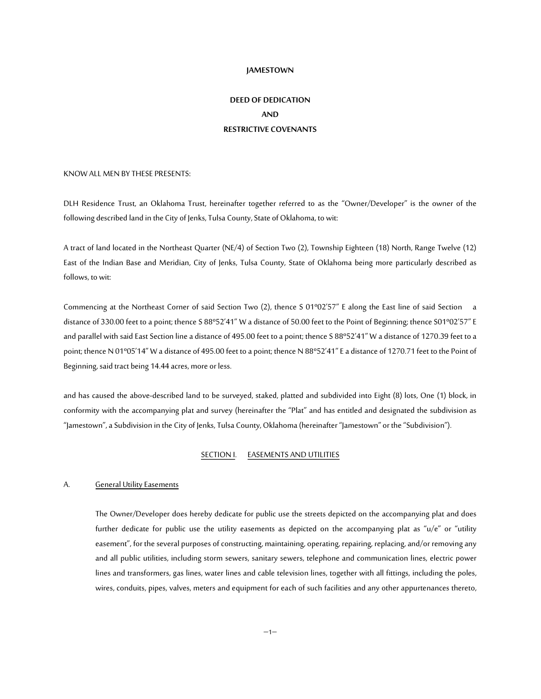#### JAMESTOWN

# DEED OF DEDICATION AND RESTRICTIVE COVENANTS

#### KNOW ALL MEN BY THESE PRESENTS:

DLH Residence Trust, an Oklahoma Trust, hereinafter together referred to as the "Owner/Developer" is the owner of the following described land in the City of Jenks, Tulsa County, State of Oklahoma, to wit:

A tract of land located in the Northeast Quarter (NE/4) of Section Two (2), Township Eighteen (18) North, Range Twelve (12) East of the Indian Base and Meridian, City of Jenks, Tulsa County, State of Oklahoma being more particularly described as follows, to wit:

Commencing at the Northeast Corner of said Section Two (2), thence S 01º02'57" E along the East line of said Section a distance of 330.00 feet to a point; thence S 88º52'41" W a distance of 50.00 feet to the Point of Beginning; thence S01º02'57" E and parallel with said East Section line a distance of 495.00 feet to a point; thence S 88º52'41" W a distance of 1270.39 feet to a point; thence N 01º05'14" W a distance of 495.00 feet to a point; thence N 88º52'41" E a distance of 1270.71 feet to the Point of Beginning, said tract being 14.44 acres, more or less.

and has caused the above-described land to be surveyed, staked, platted and subdivided into Eight (8) lots, One (1) block, in conformity with the accompanying plat and survey (hereinafter the "Plat" and has entitled and designated the subdivision as "Jamestown", a Subdivision in the City of Jenks, Tulsa County, Oklahoma (hereinafter "Jamestown" or the "Subdivision").

#### SECTION I. EASEMENTS AND UTILITIES

### A. General Utility Easements

The Owner/Developer does hereby dedicate for public use the streets depicted on the accompanying plat and does further dedicate for public use the utility easements as depicted on the accompanying plat as "u/e" or "utility easement", for the several purposes of constructing, maintaining, operating, repairing, replacing, and/or removing any and all public utilities, including storm sewers, sanitary sewers, telephone and communication lines, electric power lines and transformers, gas lines, water lines and cable television lines, together with all fittings, including the poles, wires, conduits, pipes, valves, meters and equipment for each of such facilities and any other appurtenances thereto,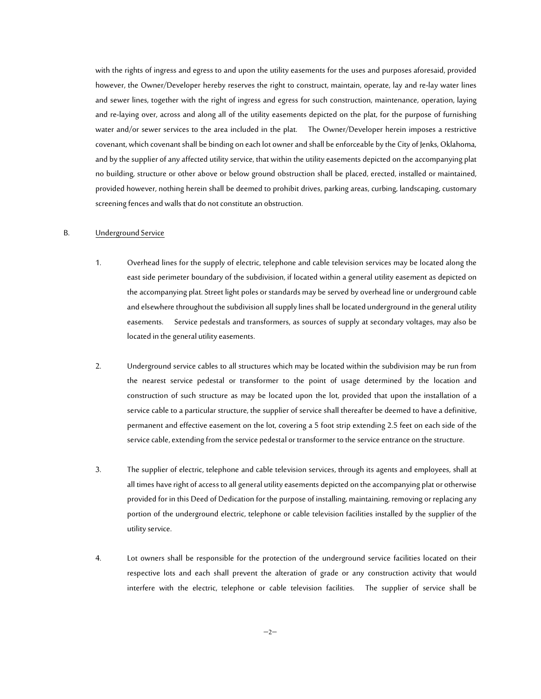with the rights of ingress and egress to and upon the utility easements for the uses and purposes aforesaid, provided however, the Owner/Developer hereby reserves the right to construct, maintain, operate, lay and re-lay water lines and sewer lines, together with the right of ingress and egress for such construction, maintenance, operation, laying and re-laying over, across and along all of the utility easements depicted on the plat, for the purpose of furnishing water and/or sewer services to the area included in the plat. The Owner/Developer herein imposes a restrictive covenant, which covenant shall be binding on each lot owner and shall be enforceable by the City of Jenks, Oklahoma, and by the supplier of any affected utility service, that within the utility easements depicted on the accompanying plat no building, structure or other above or below ground obstruction shall be placed, erected, installed or maintained, provided however, nothing herein shall be deemed to prohibit drives, parking areas, curbing, landscaping, customary screening fences and walls that do not constitute an obstruction.

# B. Underground Service

- 1. Overhead lines for the supply of electric, telephone and cable television services may be located along the east side perimeter boundary of the subdivision, if located within a general utility easement as depicted on the accompanying plat. Street light poles or standards may be served by overhead line or underground cable and elsewhere throughout the subdivision all supply lines shall be located underground in the general utility easements. Service pedestals and transformers, as sources of supply at secondary voltages, may also be located in the general utility easements.
- 2. Underground service cables to all structures which may be located within the subdivision may be run from the nearest service pedestal or transformer to the point of usage determined by the location and construction of such structure as may be located upon the lot, provided that upon the installation of a service cable to a particular structure, the supplier of service shall thereafter be deemed to have a definitive, permanent and effective easement on the lot, covering a 5 foot strip extending 2.5 feet on each side of the service cable, extending from the service pedestal or transformer to the service entrance on the structure.
- 3. The supplier of electric, telephone and cable television services, through its agents and employees, shall at all times have right of access to all general utility easements depicted on the accompanying plat or otherwise provided for in this Deed of Dedication for the purpose of installing, maintaining, removing or replacing any portion of the underground electric, telephone or cable television facilities installed by the supplier of the utility service.
- 4. Lot owners shall be responsible for the protection of the underground service facilities located on their respective lots and each shall prevent the alteration of grade or any construction activity that would interfere with the electric, telephone or cable television facilities. The supplier of service shall be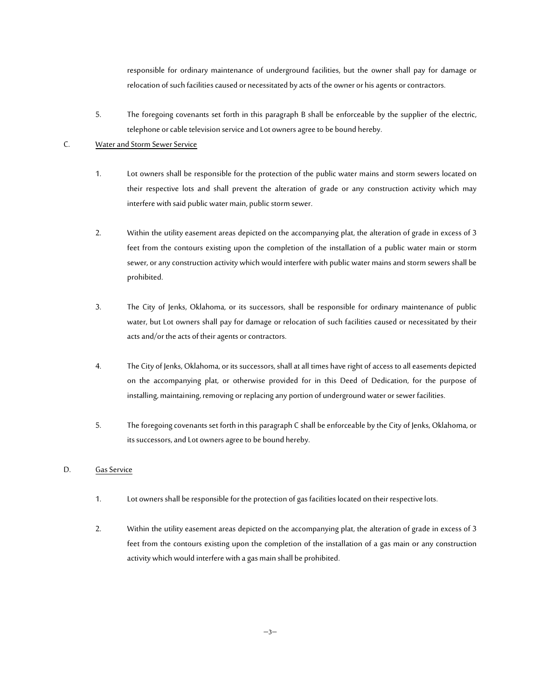responsible for ordinary maintenance of underground facilities, but the owner shall pay for damage or relocation of such facilities caused or necessitated by acts of the owner or his agents or contractors.

5. The foregoing covenants set forth in this paragraph B shall be enforceable by the supplier of the electric, telephone or cable television service and Lot owners agree to be bound hereby.

# C. Water and Storm Sewer Service

- 1. Lot owners shall be responsible for the protection of the public water mains and storm sewers located on their respective lots and shall prevent the alteration of grade or any construction activity which may interfere with said public water main, public storm sewer.
- 2. Within the utility easement areas depicted on the accompanying plat, the alteration of grade in excess of 3 feet from the contours existing upon the completion of the installation of a public water main or storm sewer, or any construction activity which would interfere with public water mains and storm sewers shall be prohibited.
- 3. The City of Jenks, Oklahoma, or its successors, shall be responsible for ordinary maintenance of public water, but Lot owners shall pay for damage or relocation of such facilities caused or necessitated by their acts and/or the acts of their agents or contractors.
- 4. The City of Jenks, Oklahoma, or its successors, shall at all times have right of access to all easements depicted on the accompanying plat, or otherwise provided for in this Deed of Dedication, for the purpose of installing, maintaining, removing or replacing any portion of underground water or sewer facilities.
- 5. The foregoing covenants set forth in this paragraph C shall be enforceable by the City of Jenks, Oklahoma, or its successors, and Lot owners agree to be bound hereby.

# D. Gas Service

- 1. Lot owners shall be responsible for the protection of gas facilities located on their respective lots.
- 2. Within the utility easement areas depicted on the accompanying plat, the alteration of grade in excess of 3 feet from the contours existing upon the completion of the installation of a gas main or any construction activity which would interfere with a gas main shall be prohibited.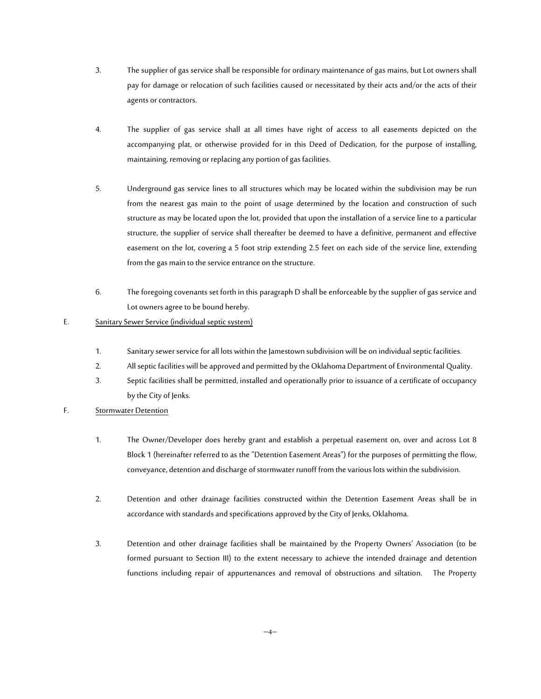- 3. The supplier of gas service shall be responsible for ordinary maintenance of gas mains, but Lot owners shall pay for damage or relocation of such facilities caused or necessitated by their acts and/or the acts of their agents or contractors.
- 4. The supplier of gas service shall at all times have right of access to all easements depicted on the accompanying plat, or otherwise provided for in this Deed of Dedication, for the purpose of installing, maintaining, removing or replacing any portion of gas facilities.
- 5. Underground gas service lines to all structures which may be located within the subdivision may be run from the nearest gas main to the point of usage determined by the location and construction of such structure as may be located upon the lot, provided that upon the installation of a service line to a particular structure, the supplier of service shall thereafter be deemed to have a definitive, permanent and effective easement on the lot, covering a 5 foot strip extending 2.5 feet on each side of the service line, extending from the gas main to the service entrance on the structure.
- 6. The foregoing covenants set forth in this paragraph D shall be enforceable by the supplier of gas service and Lot owners agree to be bound hereby.
- E. Sanitary Sewer Service (individual septic system)
	- 1. Sanitary sewer service for all lots within the Jamestown subdivision will be on individual septic facilities.
	- 2. All septic facilities will be approved and permitted by the Oklahoma Department of Environmental Quality.
	- 3. Septic facilities shall be permitted, installed and operationally prior to issuance of a certificate of occupancy by the City of Jenks.
- F. Stormwater Detention
	- 1. The Owner/Developer does hereby grant and establish a perpetual easement on, over and across Lot 8 Block 1 (hereinafter referred to as the "Detention Easement Areas") for the purposes of permitting the flow, conveyance, detention and discharge of stormwater runoff from the various lots within the subdivision.
	- 2. Detention and other drainage facilities constructed within the Detention Easement Areas shall be in accordance with standards and specifications approved by the City of Jenks, Oklahoma.
	- 3. Detention and other drainage facilities shall be maintained by the Property Owners' Association (to be formed pursuant to Section III) to the extent necessary to achieve the intended drainage and detention functions including repair of appurtenances and removal of obstructions and siltation. The Property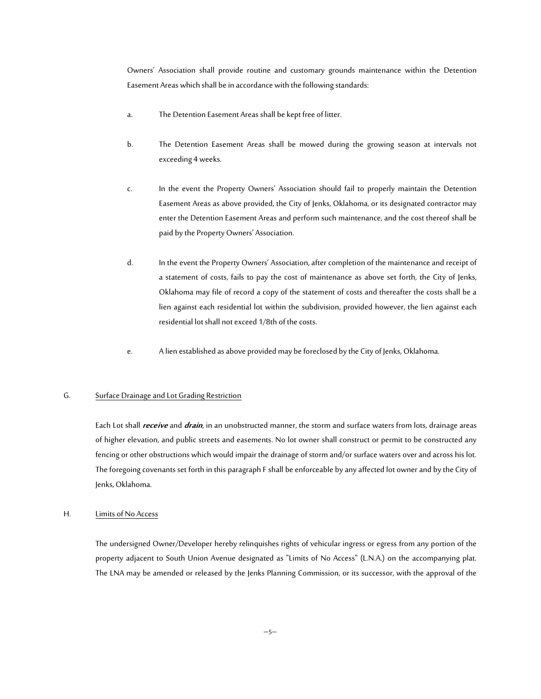Owners' Association shall provide routine and customary grounds maintenance within the Detention Easement Areas which shall be in accordance with the following standards:

- a. The Detention Easement Areas shall be kept free of litter.
- b. The Detention Easement Areas shall be mowed during the growing season at intervals not exceeding 4 weeks.
- c. In the event the Property Owners' Association should fail to properly maintain the Detention Easement Areas as above provided, the City of Jenks, Oklahoma, or its designated contractor may enter the Detention Easement Areas and perform such maintenance, and the cost thereof shall be paid by the Property Owners' Association.
- d. In the event the Property Owners' Association, after completion of the maintenance and receipt of a statement of costs, fails to pay the cost of maintenance as above set forth, the City of Jenks, Oklahoma may file of record a copy of the statement of costs and thereafter the costs shall be a lien against each residential lot within the subdivision, provided however, the lien against each residential lot shall not exceed 1/8th of the costs.
- e. A lien established as above provided may be foreclosed by the City of Jenks, Oklahoma.

# G. Surface Drainage and Lot Grading Restriction

Each Lot shall *receive* and *drain*, in an unobstructed manner, the storm and surface waters from lots, drainage areas of higher elevation, and public streets and easements. No lot owner shall construct or permit to be constructed any fencing or other obstructions which would impair the drainage of storm and/or surface waters over and across his lot. The foregoing covenants set forth in this paragraph F shall be enforceable by any affected lot owner and by the City of Jenks, Oklahoma.

# H. Limits of No Access

The undersigned Owner/Developer hereby relinquishes rights of vehicular ingress or egress from any portion of the property adjacent to South Union Avenue designated as "Limits of No Access" (L.N.A.) on the accompanying plat. The LNA may be amended or released by the Jenks Planning Commission, or its successor, with the approval of the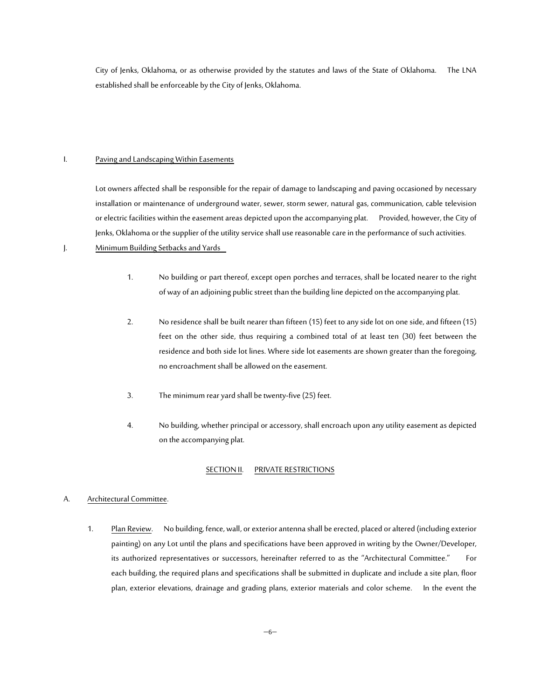City of Jenks, Oklahoma, or as otherwise provided by the statutes and laws of the State of Oklahoma. The LNA established shall be enforceable by the City of Jenks, Oklahoma.

### I. Paving and Landscaping Within Easements

Lot owners affected shall be responsible for the repair of damage to landscaping and paving occasioned by necessary installation or maintenance of underground water, sewer, storm sewer, natural gas, communication, cable television or electric facilities within the easement areas depicted upon the accompanying plat. Provided, however, the City of Jenks, Oklahoma or the supplier of the utility service shall use reasonable care in the performance of such activities.

# J. Minimum Building Setbacks and Yards

- 1. No building or part thereof, except open porches and terraces, shall be located nearer to the right of way of an adjoining public street than the building line depicted on the accompanying plat.
- 2. No residence shall be built nearer than fifteen (15) feet to any side lot on one side, and fifteen (15) feet on the other side, thus requiring a combined total of at least ten (30) feet between the residence and both side lot lines. Where side lot easements are shown greater than the foregoing, no encroachment shall be allowed on the easement.
- 3. The minimum rear yard shall be twenty-five (25) feet.
- 4. No building, whether principal or accessory, shall encroach upon any utility easement as depicted on the accompanying plat.

#### SECTION II. PRIVATE RESTRICTIONS

# A. Architectural Committee.

1. Plan Review. No building, fence, wall, or exterior antenna shall be erected, placed or altered (including exterior painting) on any Lot until the plans and specifications have been approved in writing by the Owner/Developer, its authorized representatives or successors, hereinafter referred to as the "Architectural Committee." For each building, the required plans and specifications shall be submitted in duplicate and include a site plan, floor plan, exterior elevations, drainage and grading plans, exterior materials and color scheme. In the event the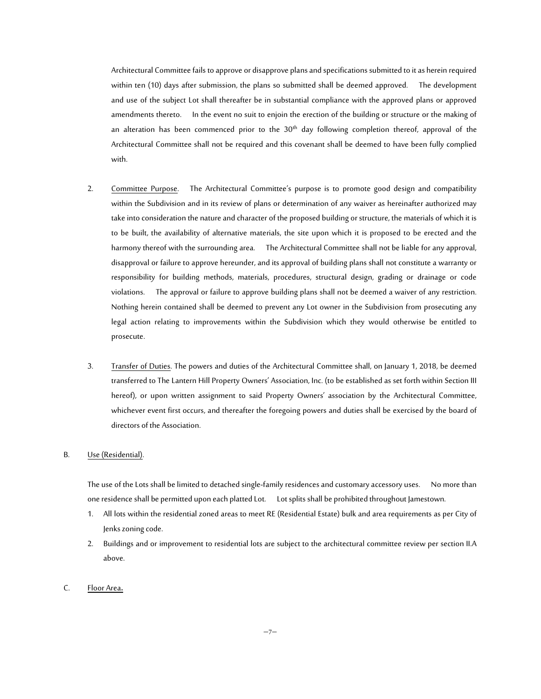Architectural Committee fails to approve or disapprove plans and specifications submitted to it as herein required within ten (10) days after submission, the plans so submitted shall be deemed approved. The development and use of the subject Lot shall thereafter be in substantial compliance with the approved plans or approved amendments thereto. In the event no suit to enjoin the erection of the building or structure or the making of an alteration has been commenced prior to the  $30<sup>th</sup>$  day following completion thereof, approval of the Architectural Committee shall not be required and this covenant shall be deemed to have been fully complied with.

- 2. Committee Purpose. The Architectural Committee's purpose is to promote good design and compatibility within the Subdivision and in its review of plans or determination of any waiver as hereinafter authorized may take into consideration the nature and character of the proposed building or structure, the materials of which it is to be built, the availability of alternative materials, the site upon which it is proposed to be erected and the harmony thereof with the surrounding area. The Architectural Committee shall not be liable for any approval, disapproval or failure to approve hereunder, and its approval of building plans shall not constitute a warranty or responsibility for building methods, materials, procedures, structural design, grading or drainage or code violations. The approval or failure to approve building plans shall not be deemed a waiver of any restriction. Nothing herein contained shall be deemed to prevent any Lot owner in the Subdivision from prosecuting any legal action relating to improvements within the Subdivision which they would otherwise be entitled to prosecute.
- 3. Transfer of Duties. The powers and duties of the Architectural Committee shall, on January 1, 2018, be deemed transferred to The Lantern Hill Property Owners' Association, Inc. (to be established as set forth within Section III hereof), or upon written assignment to said Property Owners' association by the Architectural Committee, whichever event first occurs, and thereafter the foregoing powers and duties shall be exercised by the board of directors of the Association.

#### B. Use (Residential).

The use of the Lots shall be limited to detached single-family residences and customary accessory uses. No more than one residence shall be permitted upon each platted Lot. Lot splits shall be prohibited throughout Jamestown.

- 1. All lots within the residential zoned areas to meet RE (Residential Estate) bulk and area requirements as per City of Jenks zoning code.
- 2. Buildings and or improvement to residential lots are subject to the architectural committee review per section II.A above.

# C. Floor Area.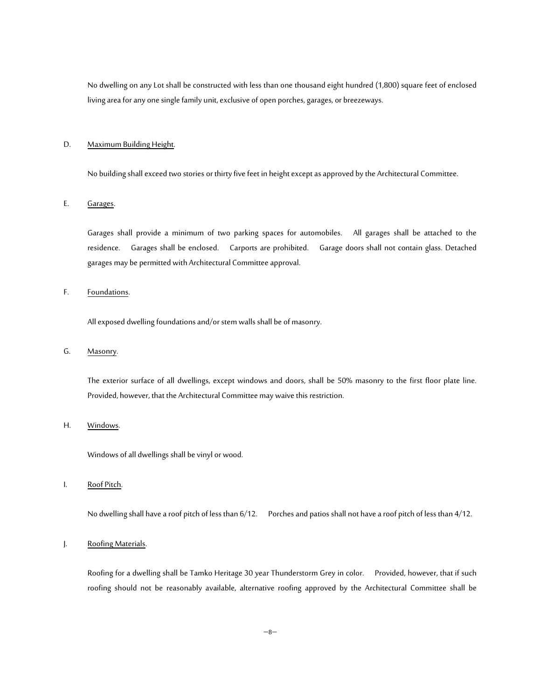No dwelling on any Lot shall be constructed with less than one thousand eight hundred (1,800) square feet of enclosed living area for any one single family unit, exclusive of open porches, garages, or breezeways.

### D. Maximum Building Height.

No building shall exceed two stories or thirty five feet in height except as approved by the Architectural Committee.

E. Garages.

Garages shall provide a minimum of two parking spaces for automobiles. All garages shall be attached to the residence. Garages shall be enclosed. Carports are prohibited. Garage doors shall not contain glass. Detached garages may be permitted with Architectural Committee approval.

# F. Foundations.

All exposed dwelling foundations and/or stem walls shall be of masonry.

#### G. Masonry.

The exterior surface of all dwellings, except windows and doors, shall be 50% masonry to the first floor plate line. Provided, however, that the Architectural Committee may waive this restriction.

# H. Windows.

Windows of all dwellings shall be vinyl or wood.

I. Roof Pitch.

No dwelling shall have a roof pitch of less than 6/12. Porches and patios shall not have a roof pitch of less than 4/12.

# J. Roofing Materials.

Roofing for a dwelling shall be Tamko Heritage 30 year Thunderstorm Grey in color. Provided, however, that if such roofing should not be reasonably available, alternative roofing approved by the Architectural Committee shall be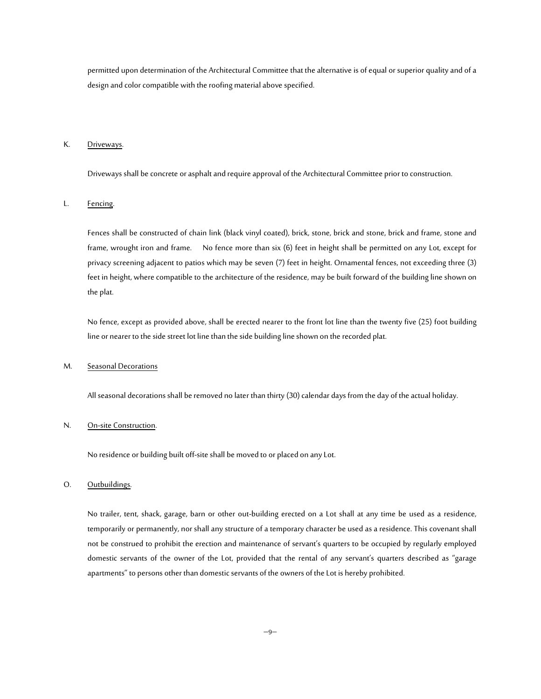permitted upon determination of the Architectural Committee that the alternative is of equal or superior quality and of a design and color compatible with the roofing material above specified.

# K. Driveways.

Driveways shall be concrete or asphalt and require approval of the Architectural Committee prior to construction.

# L. Fencing.

Fences shall be constructed of chain link (black vinyl coated), brick, stone, brick and stone, brick and frame, stone and frame, wrought iron and frame. No fence more than six (6) feet in height shall be permitted on any Lot, except for privacy screening adjacent to patios which may be seven (7) feet in height. Ornamental fences, not exceeding three (3) feet in height, where compatible to the architecture of the residence, may be built forward of the building line shown on the plat.

No fence, except as provided above, shall be erected nearer to the front lot line than the twenty five (25) foot building line or nearer to the side street lot line than the side building line shown on the recorded plat.

#### M. Seasonal Decorations

All seasonal decorations shall be removed no later than thirty (30) calendar days from the day of the actual holiday.

#### N. On-site Construction.

No residence or building built off-site shall be moved to or placed on any Lot.

### O. Outbuildings.

No trailer, tent, shack, garage, barn or other out-building erected on a Lot shall at any time be used as a residence, temporarily or permanently, nor shall any structure of a temporary character be used as a residence. This covenant shall not be construed to prohibit the erection and maintenance of servant's quarters to be occupied by regularly employed domestic servants of the owner of the Lot, provided that the rental of any servant's quarters described as "garage apartments" to persons other than domestic servants of the owners of the Lot is hereby prohibited.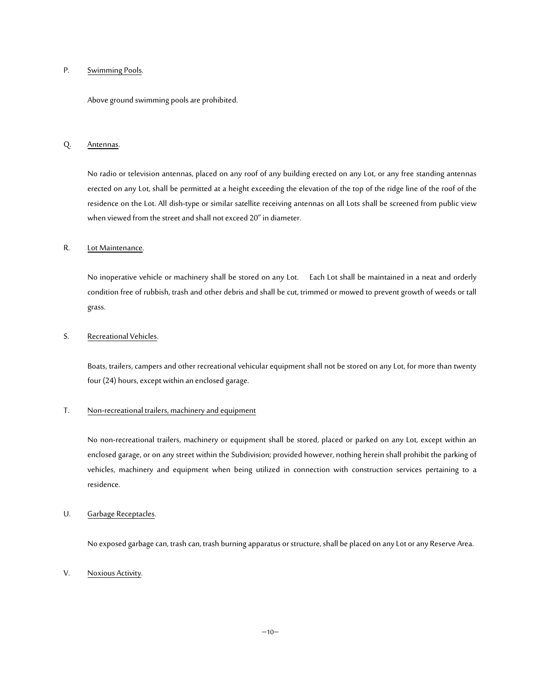### P. Swimming Pools.

Above ground swimming pools are prohibited.

# Q. Antennas.

No radio or television antennas, placed on any roof of any building erected on any Lot, or any free standing antennas erected on any Lot, shall be permitted at a height exceeding the elevation of the top of the ridge line of the roof of the residence on the Lot. All dish-type or similar satellite receiving antennas on all Lots shall be screened from public view when viewed from the street and shall not exceed 20" in diameter.

# R. Lot Maintenance.

No inoperative vehicle or machinery shall be stored on any Lot. Each Lot shall be maintained in a neat and orderly condition free of rubbish, trash and other debris and shall be cut, trimmed or mowed to prevent growth of weeds or tall grass.

### S. Recreational Vehicles.

Boats, trailers, campers and other recreational vehicular equipment shall not be stored on any Lot, for more than twenty four (24) hours, except within an enclosed garage.

### T. Non-recreational trailers, machinery and equipment

No non-recreational trailers, machinery or equipment shall be stored, placed or parked on any Lot, except within an enclosed garage, or on any street within the Subdivision; provided however, nothing herein shall prohibit the parking of vehicles, machinery and equipment when being utilized in connection with construction services pertaining to a residence.

# U. Garbage Receptacles.

No exposed garbage can, trash can, trash burning apparatus or structure, shall be placed on any Lot or any Reserve Area.

# V. Noxious Activity.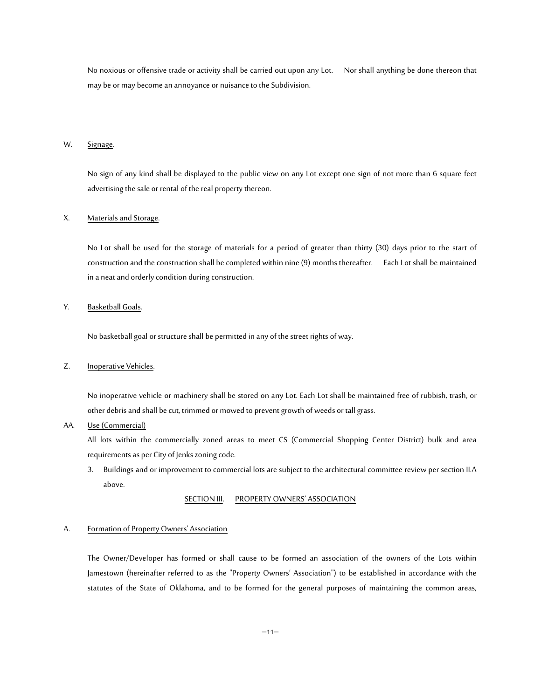No noxious or offensive trade or activity shall be carried out upon any Lot. Nor shall anything be done thereon that may be or may become an annoyance or nuisance to the Subdivision.

# W. Signage.

No sign of any kind shall be displayed to the public view on any Lot except one sign of not more than 6 square feet advertising the sale or rental of the real property thereon.

#### X. Materials and Storage.

No Lot shall be used for the storage of materials for a period of greater than thirty (30) days prior to the start of construction and the construction shall be completed within nine (9) months thereafter. Each Lot shall be maintained in a neat and orderly condition during construction.

#### Y. Basketball Goals.

No basketball goal or structure shall be permitted in any of the street rights of way.

#### Z. Inoperative Vehicles.

No inoperative vehicle or machinery shall be stored on any Lot. Each Lot shall be maintained free of rubbish, trash, or other debris and shall be cut, trimmed or mowed to prevent growth of weeds or tall grass.

# AA. Use (Commercial)

All lots within the commercially zoned areas to meet CS (Commercial Shopping Center District) bulk and area requirements as per City of Jenks zoning code.

3. Buildings and or improvement to commercial lots are subject to the architectural committee review per section II.A above.

# SECTION III. PROPERTY OWNERS' ASSOCIATION

### A. Formation of Property Owners' Association

The Owner/Developer has formed or shall cause to be formed an association of the owners of the Lots within Jamestown (hereinafter referred to as the "Property Owners' Association") to be established in accordance with the statutes of the State of Oklahoma, and to be formed for the general purposes of maintaining the common areas,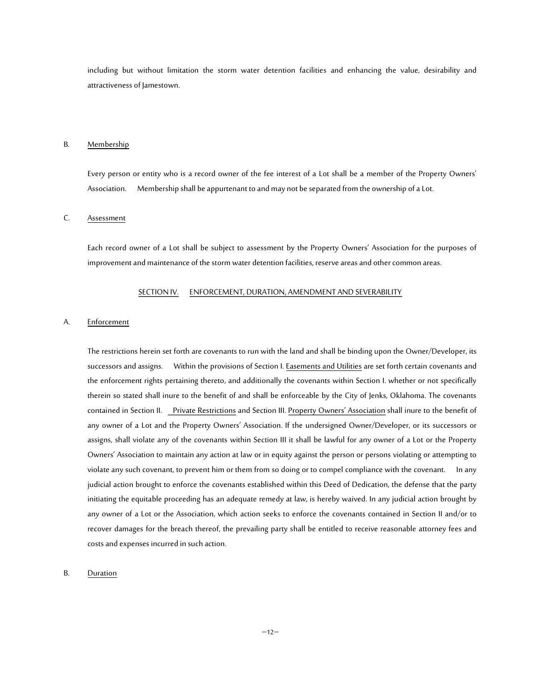including but without limitation the storm water detention facilities and enhancing the value, desirability and attractiveness of Jamestown.

### B. Membership

Every person or entity who is a record owner of the fee interest of a Lot shall be a member of the Property Owners' Association. Membership shall be appurtenant to and may not be separated from the ownership of a Lot.

#### C. Assessment

Each record owner of a Lot shall be subject to assessment by the Property Owners' Association for the purposes of improvement and maintenance of the storm water detention facilities, reserve areas and other common areas.

#### SECTION IV. ENFORCEMENT, DURATION, AMENDMENT AND SEVERABILITY

#### A. Enforcement

The restrictions herein set forth are covenants to run with the land and shall be binding upon the Owner/Developer, its successors and assigns. Within the provisions of Section I. Easements and Utilities are set forth certain covenants and the enforcement rights pertaining thereto, and additionally the covenants within Section I. whether or not specifically therein so stated shall inure to the benefit of and shall be enforceable by the City of Jenks, Oklahoma. The covenants contained in Section II. Private Restrictions and Section III. Property Owners' Association shall inure to the benefit of any owner of a Lot and the Property Owners' Association. If the undersigned Owner/Developer, or its successors or assigns, shall violate any of the covenants within Section III it shall be lawful for any owner of a Lot or the Property Owners' Association to maintain any action at law or in equity against the person or persons violating or attempting to violate any such covenant, to prevent him or them from so doing or to compel compliance with the covenant. In any judicial action brought to enforce the covenants established within this Deed of Dedication, the defense that the party initiating the equitable proceeding has an adequate remedy at law, is hereby waived. In any judicial action brought by any owner of a Lot or the Association, which action seeks to enforce the covenants contained in Section II and/or to recover damages for the breach thereof, the prevailing party shall be entitled to receive reasonable attorney fees and costs and expenses incurred in such action.

#### B. Duration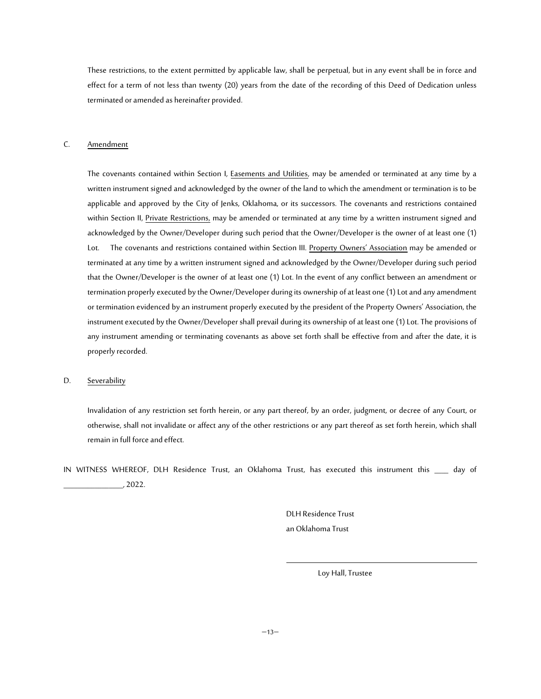These restrictions, to the extent permitted by applicable law, shall be perpetual, but in any event shall be in force and effect for a term of not less than twenty (20) years from the date of the recording of this Deed of Dedication unless terminated or amended as hereinafter provided.

# C. Amendment

The covenants contained within Section I, Easements and Utilities, may be amended or terminated at any time by a written instrument signed and acknowledged by the owner of the land to which the amendment or termination is to be applicable and approved by the City of Jenks, Oklahoma, or its successors. The covenants and restrictions contained within Section II, Private Restrictions, may be amended or terminated at any time by a written instrument signed and acknowledged by the Owner/Developer during such period that the Owner/Developer is the owner of at least one (1) Lot. The covenants and restrictions contained within Section III. Property Owners' Association may be amended or terminated at any time by a written instrument signed and acknowledged by the Owner/Developer during such period that the Owner/Developer is the owner of at least one (1) Lot. In the event of any conflict between an amendment or termination properly executed by the Owner/Developer during its ownership of at least one (1) Lot and any amendment or termination evidenced by an instrument properly executed by the president of the Property Owners' Association, the instrument executed by the Owner/Developer shall prevail during its ownership of at least one (1) Lot. The provisions of any instrument amending or terminating covenants as above set forth shall be effective from and after the date, it is properly recorded.

# D. Severability

Invalidation of any restriction set forth herein, or any part thereof, by an order, judgment, or decree of any Court, or otherwise, shall not invalidate or affect any of the other restrictions or any part thereof as set forth herein, which shall remain in full force and effect.

l

IN WITNESS WHEREOF, DLH Residence Trust, an Oklahoma Trust, has executed this instrument this \_\_\_\_ day of \_\_\_\_\_\_\_\_\_\_\_\_\_\_\_\_\_, 2022.

> DLH Residence Trust an Oklahoma Trust

> > Loy Hall, Trustee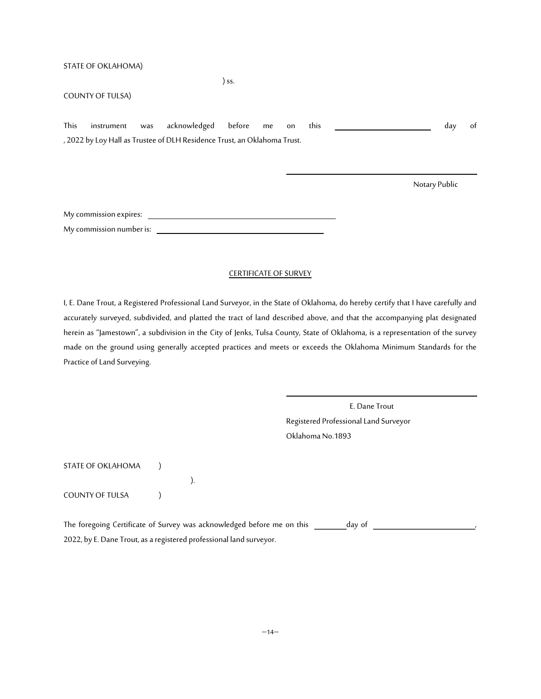### STATE OF OKLAHOMA)

 $\frac{1}{2}$  ss.

# COUNTY OF TULSA)

This instrument was acknowledged before me on this \_\_\_\_\_\_\_\_\_\_\_\_\_\_\_\_\_\_\_\_\_ day of , 2022 by Loy Hall as Trustee of DLH Residence Trust, an Oklahoma Trust.

l

Notary Public

My commission expires: My commission number is:

# CERTIFICATE OF SURVEY

I, E. Dane Trout, a Registered Professional Land Surveyor, in the State of Oklahoma, do hereby certify that I have carefully and accurately surveyed, subdivided, and platted the tract of land described above, and that the accompanying plat designated herein as "Jamestown", a subdivision in the City of Jenks, Tulsa County, State of Oklahoma, is a representation of the survey made on the ground using generally accepted practices and meets or exceeds the Oklahoma Minimum Standards for the Practice of Land Surveying.

l

 E. Dane Trout Registered Professional Land Surveyor Oklahoma No.1893

STATE OF OKLAHOMA ) ). COUNTY OF TULSA (

The foregoing Certificate of Survey was acknowledged before me on this \_\_\_\_\_\_\_\_ day of 2022, by E. Dane Trout, as a registered professional land surveyor.